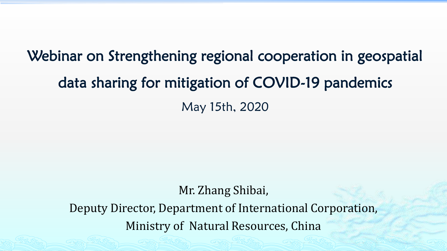## Webinar on Strengthening regional cooperation in geospatial data sharing for mitigation of COVID-19 pandemics May 15th, 2020

#### Mr. Zhang Shibai,

Deputy Director, Department of International Corporation, Ministry of Natural Resources, China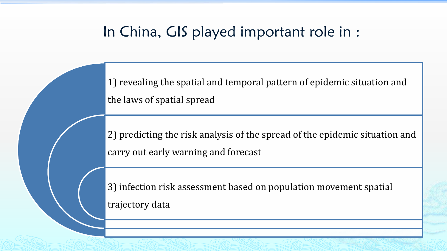#### In China, GIS played important role in :

1) revealing the spatial and temporal pattern of epidemic situation and the laws of spatial spread

2) predicting the risk analysis of the spread of the epidemic situation and carry out early warning and forecast

3) infection risk assessment based on population movement spatial trajectory data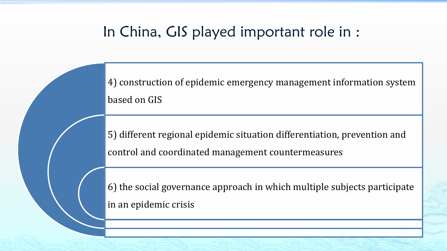### In China, GIS played important role in :

4) construction of epidemic emergency management information system based on GIS

5) different regional epidemic situation differentiation, prevention and control and coordinated management countermeasures

6) the social governance approach in which multiple subjects participate in an epidemic crisis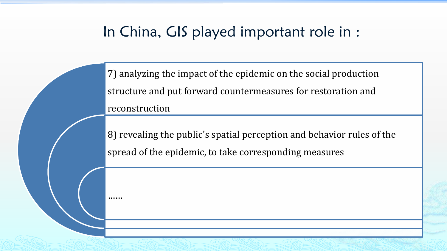### In China, GIS played important role in :

7) analyzing the impact of the epidemic on the social production structure and put forward countermeasures for restoration and reconstruction

8) revealing the public's spatial perception and behavior rules of the spread of the epidemic, to take corresponding measures

……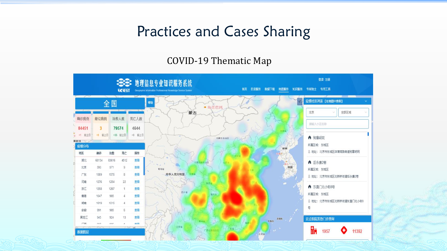### Practices and Cases Sharing

#### COVID-19 Thematic Map

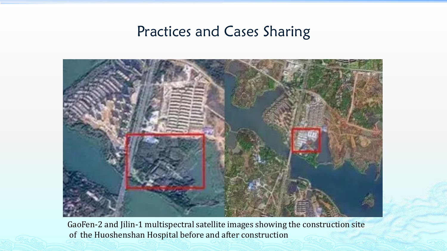#### Practices and Cases Sharing



GaoFen-2 and Jilin-1 multispectral satellite images showing the construction site of the Huoshenshan Hospital before and after construction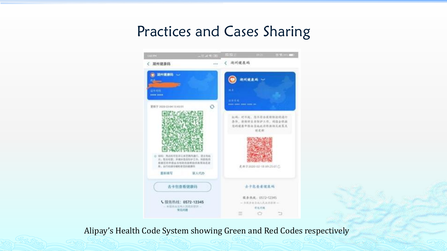## Practices and Cases Sharing



Alipay's Health Code System showing Green and Red Codes respectively